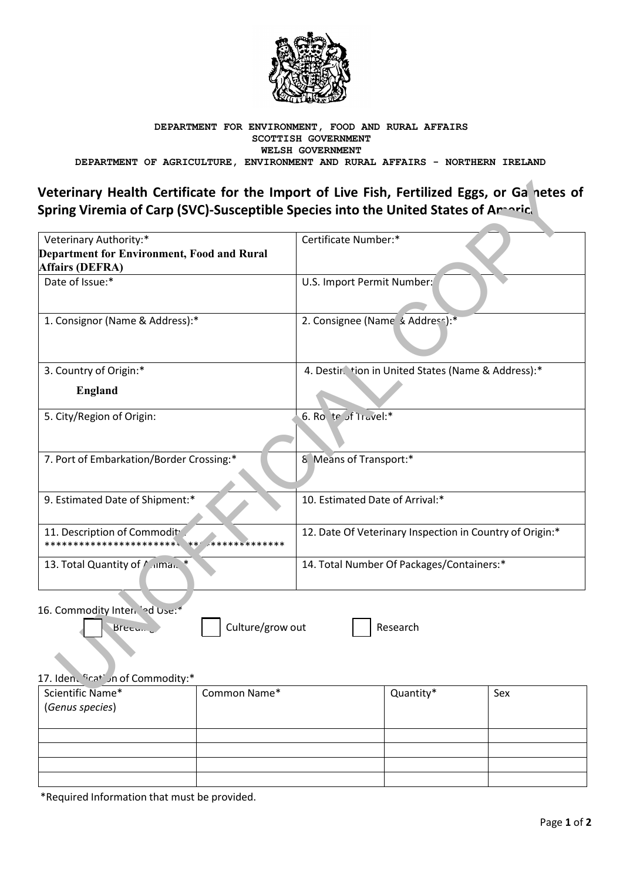

#### DEPARTMENT FOR ENVIRONMENT, FOOD AND RURAL AFFAIRS SCOTTISH GOVERNMENT WELSH GOVERNMENT DEPARTMENT OF AGRICULTURE, ENVIRONMENT AND RURAL AFFAIRS - NORTHERN IRELAND

# Veterinary Health Certificate for the Import of Live Fish, Fertilized Eggs, or Ganetes of Spring Viremia of Carp (SVC)-Susceptible Species into the United States of Amaric.

| Veterinary Authority:*                                                         | Certificate Number:*                                     |
|--------------------------------------------------------------------------------|----------------------------------------------------------|
| <b>Department for Environment, Food and Rural</b>                              |                                                          |
| <b>Affairs (DEFRA)</b>                                                         |                                                          |
| Date of Issue:*                                                                | U.S. Import Permit Number:                               |
| 1. Consignor (Name & Address):*                                                | 2. Consignee (Name & Address):*                          |
| 3. Country of Origin:*                                                         | 4. Destir tion in United States (Name & Address):*       |
| <b>England</b>                                                                 |                                                          |
| 5. City/Region of Origin:                                                      | 6. Ro. te of Travel:*                                    |
| 7. Port of Embarkation/Border Crossing:*                                       | 8 Means of Transport:*                                   |
| 9. Estimated Date of Shipment:*                                                | 10. Estimated Date of Arrival:*                          |
| 11. Description of Commodity<br>****************************<br>************** | 12. Date Of Veterinary Inspection in Country of Origin:* |
| 13. Total Quantity of $\sqrt{m}$ ama <sub>1</sub> *                            | 14. Total Number Of Packages/Containers:*                |
|                                                                                |                                                          |

16. Commodity Intendied Use:\*

Breeu...

Culture/grow out

Research

## 17. Iden. "cat" in of Commodity:\*

| Scientific Name*<br>(Genus species) | Common Name* | Quantity* | Sex |
|-------------------------------------|--------------|-----------|-----|
|                                     |              |           |     |
|                                     |              |           |     |
|                                     |              |           |     |
|                                     |              |           |     |

\*Required Information that must be provided.